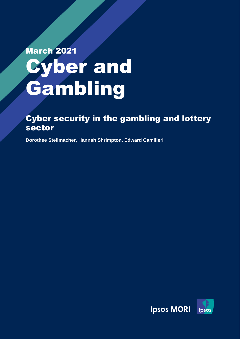# March 2021 yber and Gambling

Ipsos MORI | NCSC Cyber and Gambling

### Cyber security in the gambling and lottery sector

**Dorothee Stellmacher, Hannah Shrimpton, Edward Camilleri** 

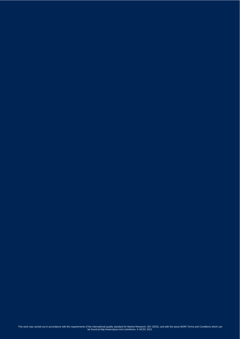the control of the control of the found at http://www.ipsos-mori.com/terms. © NCSC 2021<br>December 2014 - Andre Control of the Control of the Control of the Control of the Control of the Control of th This work was carried out in accordance with the requirements of the international quality standard for Market Research, ISO 20252, and with the Ipsos MORI Terms and Conditions which can<br>be found at http://www.ipsos-mori.c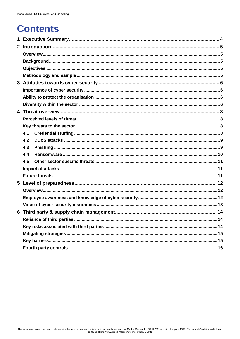### **Contents**

| 4.1 |  |
|-----|--|
| 4.2 |  |
| 4.3 |  |
| 4.4 |  |
| 4.5 |  |
|     |  |
|     |  |
|     |  |
|     |  |
|     |  |
|     |  |
|     |  |
|     |  |
|     |  |
|     |  |
|     |  |
|     |  |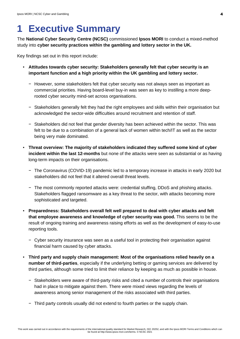### <span id="page-3-0"></span>**1 Executive Summary**

The **National Cyber Security Centre (NCSC)** commissioned **Ipsos MORI** to conduct a mixed-method study into **cyber security practices within the gambling and lottery sector in the UK.**

Key findings set out in this report include:

- **Attitudes towards cyber security: Stakeholders generally felt that cyber security is an important function and a high priority within the UK gambling and lottery sector.** 
	- − However, some stakeholders felt that cyber security was not always seen as important as commercial priorities. Having board-level buy-in was seen as key to instilling a more deeprooted cyber security mind-set across organisations.
	- − Stakeholders generally felt they had the right employees and skills within their organisation but acknowledged the sector-wide difficulties around recruitment and retention of staff.
	- − Stakeholders did not feel that gender diversity has been achieved within the sector. This was felt to be due to a combination of a general lack of women within tech/IT as well as the sector being very male dominated.
- **Threat overview: The majority of stakeholders indicated they suffered some kind of cyber incident within the last 12-months** but none of the attacks were seen as substantial or as having long-term impacts on their organisations.
	- − The Coronavirus (COVID-19) pandemic led to a temporary increase in attacks in early 2020 but stakeholders did not feel that it altered overall threat levels.
	- − The most commonly reported attacks were: credential stuffing, DDoS and phishing attacks. Stakeholders flagged ransomware as a key threat to the sector, with attacks becoming more sophisticated and targeted.
- **Preparedness: Stakeholders overall felt well prepared to deal with cyber attacks and felt that employee awareness and knowledge of cyber security was good.** This seems to be the result of ongoing training and awareness raising efforts as well as the development of easy-to-use reporting tools.
	- − Cyber security insurance was seen as a useful tool in protecting their organisation against financial harm caused by cyber attacks.
- **Third party and supply chain management: Most of the organisations relied heavily on a number of third-parties**, especially if the underlying betting or gaming services are delivered by third parties, although some tried to limit their reliance by keeping as much as possible in house.
	- − Stakeholders were aware of third-party risks and cited a number of controls their organisations had in place to mitigate against them. There were mixed views regarding the levels of awareness among senior management of the risks associated with third parties.
	- − Third party controls usually did not extend to fourth parties or the supply chain.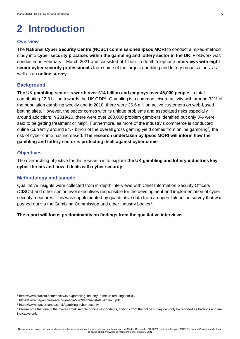## <span id="page-4-0"></span>**2 Introduction**

#### <span id="page-4-1"></span>**Overview**

The **National Cyber Security Centre (NCSC) commissioned Ipsos MORI** to conduct a mixed-method study into **cyber security practices within the gambling and lottery sector in the UK**. Fieldwork was conducted in February – March 2021 and consisted of 1-hour in-depth telephone **interviews with eight senior cyber security professionals** from some of the largest gambling and lottery organisations, as well as an **online survey**.

#### <span id="page-4-2"></span>**Background**

**The UK gambling sector is worth over £14 billion and employs over 46,000 people**; in total contributing £2.3 billion towards the UK GDP<sup>1</sup>. Gambling is a common leisure activity with around 32% of the population gambling weekly and in 2018, there were 36.6 million active customers on web-based betting sites. However, the sector comes with its unique problems and associated risks especially around addiction; in 2019/20, there were over 280,000 problem gamblers identified but only 3% were said to be getting treatment or help<sup>2</sup>. Furthermore, as more of the industry's commerce is conducted online (currently around £4.7 billion of the overall gross gaming yield comes from online gambling<sup>3</sup>) the risk of cyber crime has increased. **The research undertaken by Ipsos MORI will inform how the gambling and lottery sector is protecting itself against cyber crime**.

#### <span id="page-4-3"></span>**Objectives**

The overarching objective for this research is to explore **the UK gambling and lottery industries key cyber threats and how it deals with cyber security**.

#### <span id="page-4-4"></span>**Methodology and sample**

Qualitative insights were collected from in-depth interviews with Chief Information Security Officers (CISOs) and other senior level executives responsible for the development and implementation of cyber security measures. This was supplemented by quantitative data from an open-link online survey that was pushed out via the Gambling Commission and other industry bodies<sup>4</sup>.

**The report will focus predominantly on findings from the qualitative interviews.** 

<sup>1</sup> https://www.statista.com/topics/3400/gambling-industry-in-the-united-kingdom-uk/

<sup>2</sup> https://www.begambleaware.org/media/2289/annual-stats-2019-20.pdf

<sup>3</sup> https://www.itgovernance.co.uk/gambling-cyber security

<sup>4</sup> Please note that due to the overall small sample of nine respondents, findings from the online survey can only be reported as fractions and are indicative only.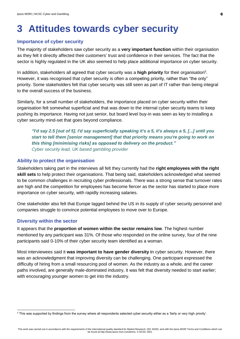### <span id="page-5-0"></span>**3 Attitudes towards cyber security**

#### <span id="page-5-1"></span>**Importance of cyber security**

The majority of stakeholders saw cyber security as a **very important function** within their organisation as they felt it directly affected their customers' trust and confidence in their services. The fact that the sector is highly regulated in the UK also seemed to help place additional importance on cyber security.

In addition, stakeholders all agreed that cyber security was a high priority for their organisation<sup>5</sup>. However, it was recognised that cyber security is often a competing priority, rather than "the only" priority. Some stakeholders felt that cyber security was still seen as part of IT rather than being integral to the overall success of the business.

Similarly, for a small number of stakeholders, the importance placed on cyber security within their organisation felt somewhat superficial and that was down to the internal cyber security teams to keep pushing its importance. Having not just senior, but board level buy-in was seen as key to installing a cyber security mind-set that goes beyond compliance.

*"I'd say 2.5 [out of 5]. I'd say superficially speaking it's a 5, it's always a 5, [...] until you start to tell them [senior management] that that priority means you're going to work on this thing [minimising risks] as opposed to delivery on the product." Cyber security lead, UK based gambling provider* 

#### <span id="page-5-2"></span>**Ability to protect the organisation**

Stakeholders taking part in the interviews all felt they currently had the **right employees with the right skill sets** to help protect their organisations. That being said, stakeholders acknowledged what seemed to be common challenges in recruiting cyber professionals. There was a strong sense that turnover rates are high and the competition for employees has become fiercer as the sector has started to place more importance on cyber security, with rapidly increasing salaries.

One stakeholder also felt that Europe lagged behind the US in its supply of cyber security personnel and companies struggle to convince potential employees to move over to Europe.

#### <span id="page-5-3"></span>**Diversity within the sector**

It appears that the **proportion of women within the sector remains low**. The highest number mentioned by any participant was 31%. Of those who responded on the online survey, four of the nine participants said 0-10% of their cyber security team identified as a woman.

Most interviewees said it **was important to have gender diversity i**n cyber security. However, there was an acknowledgment that improving diversity can be challenging. One participant expressed the difficulty of hiring from a small resourcing pool of women. As the industry as a whole, and the career paths involved, are generally male-dominated industry, it was felt that diversity needed to start earlier; with encouraging younger women to get into the industry.

<sup>5</sup> This was supported by findings from the survey where all respondents selected cyber security either as a 'fairly or very high priority'.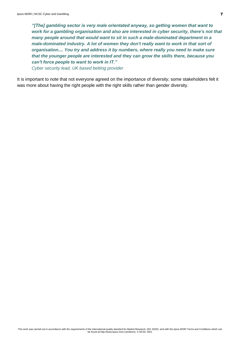*"[The] gambling sector is very male orientated anyway, so getting women that want to work for a gambling organisation and also are interested in cyber security, there's not that many people around that would want to sit in such a male-dominated department in a male-dominated industry. A lot of women they don't really want to work in that sort of organisation.... You try and address it by numbers, where really you need to make sure that the younger people are interested and they can grow the skills there, because you can't force people to want to work in IT." Cyber security lead, UK based betting provider*

It is important to note that not everyone agreed on the importance of diversity; some stakeholders felt it was more about having the right people with the right skills rather than gender diversity.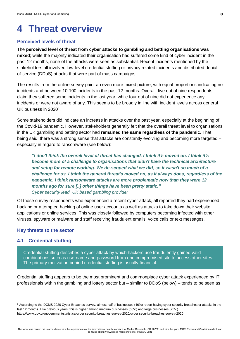### <span id="page-7-0"></span>**4 Threat overview**

#### <span id="page-7-1"></span>**Perceived levels of threat**

The **perceived level of threat from cyber attacks to gambling and betting organisations was mixed**; while the majority indicated their organisation had suffered some kind of cyber incident in the past 12-months, none of the attacks were seen as substantial. Recent incidents mentioned by the stakeholders all involved low-level credential stuffing or privacy related incidents and distributed denialof-service (DDoS) attacks that were part of mass campaigns.

The results from the online survey paint an even more mixed picture, with equal proportions indicating no incidents and between 10-100 incidents in the past 12-months. Overall, five out of nine respondents claim they suffered some incidents in the last year, while four out of nine did not experience any incidents or were not aware of any. This seems to be broadly in line with incident levels across general UK business in 2020<sup>6</sup>.

Some stakeholders did indicate an increase in attacks over the past year, especially at the beginning of the Covid-19 pandemic. However, stakeholders generally felt that the overall threat level to organisations in the UK gambling and betting sector had **remained the same regardless of the pandemic**. That being said, there was a strong sense that attacks are constantly evolving and becoming more targeted – especially in regard to ransomware (see below):

*"I don't think the overall level of threat has changed. I think it's moved on. I think it's become more of a challenge to organisations that didn't have the technical architecture and setup for remote working. We de-scoped what we did, so it wasn't so much of a challenge for us. I think the general threat's moved on, as it always does, regardless of the pandemic. I think ransomware attacks are more problematic now than they were 12 months ago for sure [..] other things have been pretty static." Cyber security lead, UK based gambling provider* 

Of those survey respondents who experienced a recent cyber attack, all reported they had experienced hacking or attempted hacking of online user accounts as well as attacks to take down their website, applications or online services. This was closely followed by computers becoming infected with other viruses, spyware or malware and staff receiving fraudulent emails, voice calls or text messages.

#### <span id="page-7-2"></span>**Key threats to the sector**

#### <span id="page-7-3"></span>**4.1 Credential stuffing**

Credential stuffing describes a cyber attack by which hackers use fraudulently gained valid combinations such as username and password from one compromised site to access other sites. The primary motivation behind credential stuffing is usually financial.

Credential stuffing appears to be the most prominent and commonplace cyber attack experienced by IT professionals within the gambling and lottery sector but – similar to DDoS (below) – tends to be seen as

<sup>6</sup> According to the DCMS 2020 Cyber Breaches survey, almost half of businesses (46%) report having cyber security breaches or attacks in the last 12 months. Like previous years, this is higher among medium businesses (68%) and large businesses (75%). https://www.gov.uk/government/statistics/cyber security-breaches-survey-2020/cyber security-breaches-survey-2020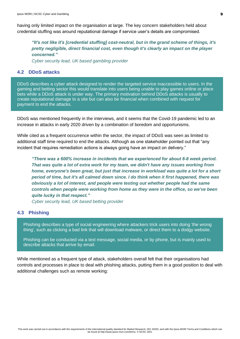having only limited impact on the organisation at large. The key concern stakeholders held about credential stuffing was around reputational damage if service user's details are compromised.

*"It's not like it's [credential stuffing] cost-neutral, but in the grand scheme of things, it's pretty negligible, direct financial cost, even though it's clearly an impact on the player concerned."*

*Cyber security lead, UK based gambling provider* 

#### <span id="page-8-0"></span>**4.2 DDoS attacks**

DDoS describes a cyber attack designed to render the targeted service inaccessible to users. In the gaming and betting sector this would translate into users being unable to play games online or place bets while a DDoS attack is under way. The primary motivation behind DDoS attacks is usually to create reputational damage to a site but can also be financial when combined with request for payment to end the attacks.

DDoS was mentioned frequently in the interviews, and it seems that the Covid-19 pandemic led to an increase in attacks in early 2020 driven by a combination of boredom and opportunisms.

While cited as a frequent occurrence within the sector, the impact of DDoS was seen as limited to additional staff time required to end the attacks. Although as one stakeholder pointed out that "any incident that requires remediation actions is always going have an impact on delivery."

*"There was a 600% increase in incidents that we experienced for about 6-8 week period. That was quite a lot of extra work for my team, we didn't have any issues working from home, everyone's been great, but just that increase in workload was quite a lot for a short period of time, but it's all calmed down since. I do think when it first happened, there was obviously a lot of interest, and people were testing out whether people had the same controls when people were working from home as they were in the office, so we've been quite lucky in that respect."*

*Cyber security lead, UK based betting provider*

#### <span id="page-8-1"></span>**4.3 Phishing**

Phishing describes a type of social engineering where attackers trick users into doing 'the wrong thing', such as clicking a bad link that will download malware, or direct them to a dodgy website.

Phishing can be conducted via a text message, social media, or by phone, but is mainly used to describe attacks that arrive by email.

While mentioned as a frequent type of attack, stakeholders overall felt that their organisations had controls and processes in place to deal with phishing attacks, putting them in a good position to deal with additional challenges such as remote working: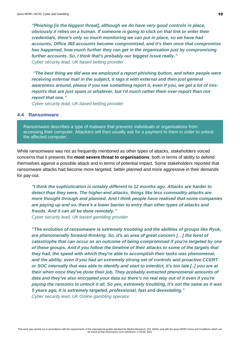*"Phishing [is the biggest threat], although we do have very good controls in place, obviously it relies on a human. If someone is going to click on that link or enter their credentials, there's only so much monitoring we can put in place, so we have had accounts, Office 365 accounts become compromised, and it's then once that compromise has happened, how much further they can get in the organisation just by compromising further accounts. So, I think that's probably our biggest issue really." Cyber security lead, UK based betting provider*

*"The best thing we did was we employed a report phishing button, and when people were receiving external mail in the subject, it tags it with external and then just general awareness around, please if you see something report it, even if you, we get a lot of misreports that are just spam or whatever, but I'd much rather them over-report than not report that one."*

*Cyber security lead, UK based betting provider*

#### <span id="page-9-0"></span>**4.4 Ransomware**

Ransomware describes a type of malware that prevents individuals or organisations from accessing their computer. Attackers will then usually ask for a payment to them in order to unlock the affected computer.

While ransomware was not as frequently mentioned as other types of attacks, stakeholders voiced concerns that it presents the **most severe threat to organisations**; both in terms of ability to defend themselves against a possible attack and in terms of potential impact. Some stakeholders reported that ransomware attacks had become more targeted, better planned and more aggressive in their demands for pay-out.

*"I think the sophistication is notably different to 12 months ago. Attacks are harder to detect than they were. The higher-end attacks, things like less commodity attacks are more thought through and planned. And I think people have realised that some companies are paying up and so, there's a lower barrier to entry than other types of attacks and frauds. And it can all be done remotely." Cyber security lead, UK based gambling provider* 

*"The evolution of ransomware is extremely troubling and the abilities of groups like Ryuk, are phenomenally forward-thinking. So, it's an area of great concern […] the level of catastrophe that can occur as an outcome of being compromised if you're targeted by one of these groups. And if you follow the timeline of their attacks to some of the targets that they had, the speed with which they're able to accomplish their tasks was phenomenal, and the ability, even if you had an extremely strong set of controls and proactive CCERT or SOC internally that was able to identify and start to interdict, it's too late [..] you are at their whim once they've done their job. They probably extracted phenomenal amounts of data and they've also encrypted your data so there's no real way out of it even if you're paying the ransoms to unlock it all. So yes, extremely troubling, it's not the same as it was 5 years ago, it is extremely targeted, professional, fast and devastating." Cyber security lead, UK Online gambling operator*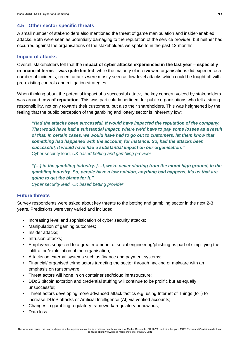#### <span id="page-10-0"></span>**4.5 Other sector specific threats**

A small number of stakeholders also mentioned the threat of game manipulation and insider-enabled attacks. Both were seen as potentially damaging to the reputation of the service provider, but neither had occurred against the organisations of the stakeholders we spoke to in the past 12-months.

#### <span id="page-10-1"></span>**Impact of attacks**

Overall, stakeholders felt that the **impact of cyber attacks experienced in the last year – especially in financial terms – was quite limited**; while the majority of interviewed organisations did experience a number of incidents, recent attacks were mostly seen as low-level attacks which could be fought off with pre-existing controls and mitigation strategies.

When thinking about the potential impact of a successful attack, the key concern voiced by stakeholders was around **loss of reputation**. This was particularly pertinent for public organisations who felt a strong responsibility, not only towards their customers, but also their shareholders. This was heightened by the feeling that the public perception of the gambling and lottery sector is inherently low:

*"Had the attacks been successful, it would have impacted the reputation of the company. That would have had a substantial impact, where we'd have to pay some losses as a result of that. In certain cases, we would have had to go out to customers, let them know that something had happened with the account, for instance. So, had the attacks been successful, it would have had a substantial impact on our organisation."* Cyber security lead, *UK based betting and gambling provider*

*"[…] in the gambling industry. […], we're never starting from the moral high ground, in the gambling industry. So, people have a low opinion, anything bad happens, it's us that are going to get the blame for it." Cyber security lead, UK based betting provider*

#### <span id="page-10-2"></span>**Future threats**

Survey respondents were asked about key threats to the betting and gambling sector in the next 2-3 years. Predictions were very varied and included:

- Increasing level and sophistication of cyber security attacks;
- Manipulation of gaming outcomes;
- Insider attacks;
- **·** Intrusion attacks:
- Employees subjected to a greater amount of social engineering/phishing as part of simplifying the infiltration/exploitation of the organisation;
- Attacks on external systems such as finance and payment systems;
- Financial/ organised crime actors targeting the sector through hacking or malware with an emphasis on ransomware;
- Threat actors will hone in on containerised/cloud infrastructure;
- DDoS bitcoin extortion and credential stuffing will continue to be prolific but as equally unsuccessful;
- Threat actors developing more advanced attack tactics e.g. using Internet of Things (IoT) to increase DDoS attacks or Artificial Intelligence (AI) via verified accounts;
- Changes in gambling regulatory framework/ regulatory headwinds;
- Data loss.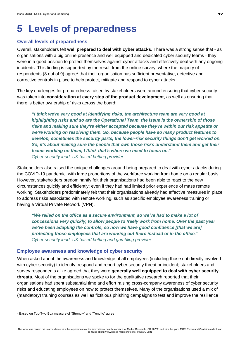### <span id="page-11-0"></span>**5 Levels of preparedness**

#### <span id="page-11-1"></span>**Overall levels of preparedness**

Overall, stakeholders felt **well prepared to deal with cyber attacks**. There was a strong sense that - as organisations with a big online presence and well equipped and dedicated cyber security teams - they were in a good position to protect themselves against cyber attacks and effectively deal with any ongoing incidents. This finding is supported by the result from the online survey, where the majority of respondents (8 out of 9) agree<sup>7</sup> that their organisation has sufficient preventative, detective and corrective controls in place to help protect, mitigate and respond to cyber attacks.

The key challenges for preparedness raised by stakeholders were around ensuring that cyber security was taken into **consideration at every step of the product development**, as well as ensuring that there is better ownership of risks across the board:

*"I think we're very good at identifying risks, the architecture team are very good at highlighting risks and so are the Operational Team, the issue is the ownership of those risks and making sure they're either accepted because they're within our risk appetite or we're working on resolving them. So, because people have so many product features to develop, sometimes the security parts, the lower-risk security things don't get worked on. So, it's about making sure the people that own those risks understand them and get their teams working on them, I think that's where we need to focus on." Cyber security lead, UK based betting provider*

Stakeholders also raised the unique challenges around being prepared to deal with cyber attacks during the COVID-19 pandemic, with large proportions of the workforce working from home on a regular basis. However, stakeholders predominantly felt their organisations had been able to react to the new circumstances quickly and efficiently; even if they had had limited prior experience of mass remote working. Stakeholders predominately felt that their organisations already had effective measures in place to address risks associated with remote working, such as specific employee awareness training or having a Virtual Private Network (VPN).

*"We relied on the office as a secure environment, so we've had to make a lot of concessions very quickly, to allow people to freely work from home. Over the past year we've been adapting the controls, so now we have good confidence [that we are] protecting those employees that are working out there instead of in the office." Cyber security lead, UK based betting and gambling provider*

#### <span id="page-11-2"></span>**Employee awareness and knowledge of cyber security**

When asked about the awareness and knowledge of all employees (including those not directly involved with cyber security) to identify, respond and report cyber security threat or incident; stakeholders and survey respondents alike agreed that they were **generally well equipped to deal with cyber security threats**. Most of the organisations we spoke to for the qualitative research reported that their organisations had spent substantial time and effort raising cross-company awareness of cyber security risks and educating employees on how to protect themselves. Many of the organisations used a mix of (mandatory) training courses as well as fictitious phishing campaigns to test and improve the resilience

<sup>7</sup> Based on Top-Two-Box measure of "Strongly" and "Tend to" agree

This work was carried out in accordance with the requirements of the international quality standard for Market Research, ISO 20252, and with the Ipsos MORI Terms and Conditions which can be found at http://www.ipsos-mori.com/terms. © NCSC 2021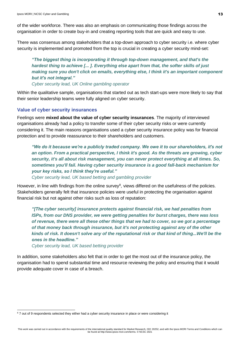of the wider workforce. There was also an emphasis on communicating those findings across the organisation in order to create buy-in and creating reporting tools that are quick and easy to use.

There was consensus among stakeholders that a top-down approach to cyber security i.e. where cyber security is implemented and promoted from the top is crucial in creating a cyber security mind-set:

*"The biggest thing is incorporating it through top-down management, and that's the hardest thing to achieve [... ]. Everything else apart from that, the softer skills of just making sure you don't click on emails, everything else, I think it's an important component but it's not integral."*

*Cyber security lead, UK Online gambling operator* 

Within the qualitative sample, organisations that started out as tech start-ups were more likely to say that their senior leadership teams were fully aligned on cyber security.

#### <span id="page-12-0"></span>**Value of cyber security insurances**

Feelings were **mixed about the value of cyber security insurances**. The majority of interviewed organisations already had a policy to transfer some of their cyber security risks or were currently considering it. The main reasons organisations used a cyber security insurance policy was for financial protection and to provide reassurance to their shareholders and customers.

*"We do it because we're a publicly traded company. We owe it to our shareholders, it's not an option. From a practical perspective, I think it's good. As the threats are growing, cyber security, it's all about risk management, you can never protect everything at all times. So, sometimes you'll fail. Having cyber security insurance is a good fall-back mechanism for your key risks, so I think they're useful."*

*Cyber security lead, UK based betting and gambling provider*

However, in line with findings from the online survey<sup>8</sup>, views differed on the usefulness of the policies. Stakeholders generally felt that insurance policies were useful in protecting the organisation against financial risk but not against other risks such as loss of reputation:

*"[The cyber security] insurance protects against financial risk, we had penalties from ISPs, from our DNS provider, we were getting penalties for burst charges, there was loss of revenue, there were all these other things that we had to cover, so we got a percentage of that money back through insurance, but it's not protecting against any of the other kinds of risk. It doesn't solve any of the reputational risk or that kind of thing...We'll be the ones in the headline."*

*Cyber security lead, UK based betting provider*

In addition, some stakeholders also felt that in order to get the most out of the insurance policy, the organisation had to spend substantial time and resource reviewing the policy and ensuring that it would provide adequate cover in case of a breach.

<sup>&</sup>lt;sup>8</sup> 7 out of 9 respondents selected they either had a cyber security insurance in place or were considering it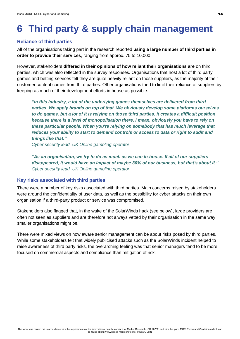## <span id="page-13-0"></span>**6 Third party & supply chain management**

#### <span id="page-13-1"></span>**Reliance of third parties**

All of the organisations taking part in the research reported **using a large number of third parties in order to provide their services**, ranging from approx. 75 to 10,000.

However, stakeholders **differed in their opinions of how reliant their organisations are** on third parties, which was also reflected in the survey responses. Organisations that host a lot of third party games and betting services felt they are quite heavily reliant on those suppliers, as the majority of their customer content comes from third parties. Other organisations tried to limit their reliance of suppliers by keeping as much of their development efforts in house as possible.

*"In this industry, a lot of the underlying games themselves are delivered from third parties. We apply brands on top of that. We obviously develop some platforms ourselves to do games, but a lot of it is relying on those third parties. It creates a difficult position because there is a level of monopolisation there. I mean, obviously you have to rely on these particular people. When you're relying on somebody that has much leverage that reduces your ability to start to demand controls or access to data or right to audit and things like that."*

*Cyber security lead, UK Online gambling operator* 

*"As an organisation, we try to do as much as we can in-house. If all of our suppliers disappeared, it would have an impact of maybe 30% of our business, but that's about it." Cyber security lead, UK Online gambling operator* 

#### <span id="page-13-2"></span>**Key risks associated with third parties**

There were a number of key risks associated with third parties. Main concerns raised by stakeholders were around the confidentiality of user data, as well as the possibility for cyber attacks on their own organisation if a third-party product or service was compromised.

Stakeholders also flagged that, in the wake of the SolarWinds hack (see below), large providers are often not seen as suppliers and are therefore not always vetted by their organisation in the same way smaller organisations might be.

There were mixed views on how aware senior management can be about risks posed by third parties. While some stakeholders felt that widely publicised attacks such as the SolarWinds incident helped to raise awareness of third party risks, the overarching feeling was that senior managers tend to be more focused on commercial aspects and compliance than mitigation of risk: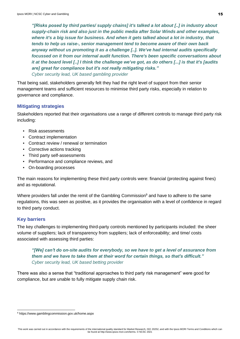*"[Risks posed by third parties/ supply chains] it's talked a lot about [..] in industry about supply-chain risk and also just in the public media after Solar Winds and other examples, where it's a big issue for business. And when it gets talked about a lot in industry, that tends to help us raise-, senior management tend to become aware of their own back anyway without us promoting it as a challenge [..]. We've had internal audits specifically focussed on it from our internal audit function. There's been specific conversations about it at the board level [..] I think the challenge we've got, as do others [...] is that it's [audits are] great for compliance but it's not really mitigating risks." Cyber security lead, UK based gambling provider* 

That being said, stakeholders generally felt they had the right level of support from their senior management teams and sufficient resources to minimise third party risks, especially in relation to governance and compliance.

#### <span id="page-14-0"></span>**Mitigating strategies**

Stakeholders reported that their organisations use a range of different controls to manage third party risk including:

- Risk assessments
- Contract implementation
- Contract review / renewal or termination
- Corrective actions tracking
- Third party self-assessments
- Performance and compliance reviews, and
- On-boarding processes

The main reasons for implementing these third party controls were: financial (protecting against fines) and as reputational.

Where providers fall under the remit of the Gambling Commission<sup>9</sup> and have to adhere to the same regulations, this was seen as positive, as it provides the organisation with a level of confidence in regard to third party conduct.

#### <span id="page-14-1"></span>**Key barriers**

The key challenges to implementing third-party controls mentioned by participants included: the sheer volume of suppliers; lack of transparency from suppliers; lack of enforceability; and time/ costs associated with assessing third parties:

*"[We] can't do on-site audits for everybody, so we have to get a level of assurance from them and we have to take them at their word for certain things, so that's difficult." Cyber security lead, UK based betting provider*

There was also a sense that "traditional approaches to third party risk management" were good for compliance, but are unable to fully mitigate supply chain risk.

<sup>9</sup> https://www.gamblingcommission.gov.uk/home.aspx

This work was carried out in accordance with the requirements of the international quality standard for Market Research, ISO 20252, and with the Ipsos MORI Terms and Conditions which can be found at http://www.ipsos-mori.com/terms. © NCSC 2021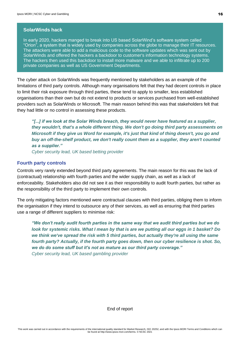#### **SolarWinds hack**

In early 2020, hackers manged to break into US based SolarWind's software system called "Orion", a system that is widely used by companies across the globe to manage their IT resources. The attackers were able to add a malicious code to the software updates which was sent out by SolarWinds and offered the hackers a backdoor to customer's information technology systems. The hackers then used this backdoor to install more malware and we able to infiltrate up to 200 private companies as well as US Government Departments.

The cyber attack on SolarWinds was frequently mentioned by stakeholders as an example of the limitations of third party controls. Although many organisations felt that they had decent controls in place to limit their risk exposure through third parties, these tend to apply to smaller, less established organisations than their own but do not extend to products or services purchased from well-established providers such as SolarWinds or Microsoft. The main reason behind this was that stakeholders felt that they had little or no control in assessing these products.

*"[...] if we look at the Solar Winds breach, they would never have featured as a supplier, they wouldn't, that's a whole different thing. We don't go doing third party assessments on Microsoft if they give us Word for example, it's just that kind of thing doesn't, you go and buy an off-the-shelf product, we don't really count them as a supplier, they aren't counted as a supplier."*

*Cyber security lead, UK based betting provider*

#### <span id="page-15-0"></span>**Fourth party controls**

Controls very rarely extended beyond third party agreements. The main reason for this was the lack of (contractual) relationship with fourth parties and the wider supply chain, as well as a lack of enforceability. Stakeholders also did not see it as their responsibility to audit fourth parties, but rather as the responsibility of the third party to implement their own controls.

The only mitigating factors mentioned were contractual clauses with third parties, obliging them to inform the organisation if they intend to outsource any of their services, as well as ensuring that third parties use a range of different suppliers to minimise risk:

*"We don't really audit fourth parties in the same way that we audit third parties but we do look for systemic risks. What I mean by that is are we putting all our eggs in 1 basket? Do we think we've spread the risk with 5 third parties, but actually they're all using the same fourth party? Actually, if the fourth party goes down, then our cyber resilience is shot. So, we do do some stuff but it's not as mature as our third party coverage." Cyber security lead, UK based gambling provider* 

End of report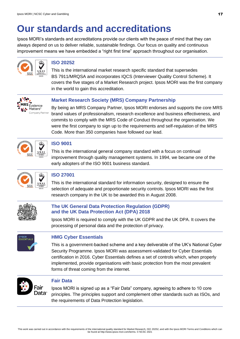### **Our standards and accreditations**

Ipsos MORI's standards and accreditations provide our clients with the peace of mind that they can always depend on us to deliver reliable, sustainable findings. Our focus on quality and continuous improvement means we have embedded a "right first time" approach throughout our organisation.



#### **ISO 20252**

This is the international market research specific standard that supersedes BS 7911/MRQSA and incorporates IQCS (Interviewer Quality Control Scheme). It covers the five stages of a Market Research project. Ipsos MORI was the first company in the world to gain this accreditation.



#### **Market Research Society (MRS) Company Partnership**

By being an MRS Company Partner, Ipsos MORI endorses and supports the core MRS brand values of professionalism, research excellence and business effectiveness, and commits to comply with the MRS Code of Conduct throughout the organisation. We were the first company to sign up to the requirements and self-regulation of the MRS Code. More than 350 companies have followed our lead.



#### **ISO 9001**

This is the international general company standard with a focus on continual improvement through quality management systems. In 1994, we became one of the early adopters of the ISO 9001 business standard.



#### **ISO 27001**

This is the international standard for information security, designed to ensure the selection of adequate and proportionate security controls. Ipsos MORI was the first research company in the UK to be awarded this in August 2008.



#### **The UK General Data Protection Regulation (GDPR) and the UK Data Protection Act (DPA) 2018**

Ipsos MORI is required to comply with the UK GDPR and the UK DPA. It covers the processing of personal data and the protection of privacy.



#### **HMG Cyber Essentials**

This is a government-backed scheme and a key deliverable of the UK's National Cyber Security Programme. Ipsos MORI was assessment-validated for Cyber Essentials certification in 2016. Cyber Essentials defines a set of controls which, when properly implemented, provide organisations with basic protection from the most prevalent forms of threat coming from the internet.



#### **Fair Data**

Ipsos MORI is signed up as a "Fair Data" company, agreeing to adhere to 10 core principles. The principles support and complement other standards such as ISOs, and the requirements of Data Protection legislation.